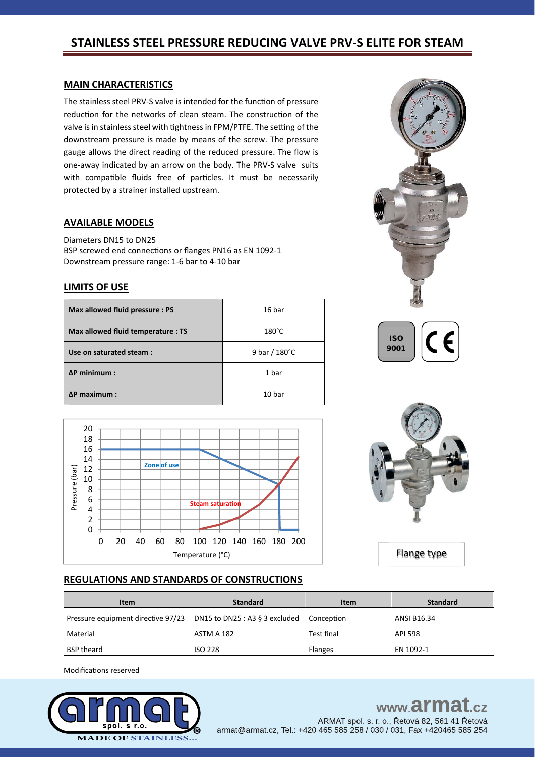### **MAIN CHARACTERISTICS**

The stainless steel PRV-S valve is intended for the function of pressure reduction for the networks of clean steam. The construction of the valve is in stainless steel with tightness in FPM/PTFE. The setting of the downstream pressure is made by means of the screw. The pressure gauge allows the direct reading of the reduced pressure. The flow is one-away indicated by an arrow on the body. The PRV-S valve suits with compatible fluids free of particles. It must be necessarily protected by a strainer installed upstream.

### **AVAILABLE MODELS**

Diameters DN15 to DN25 BSP screwed end connections or flanges PN16 as EN 1092-1 Downstream pressure range: 1-6 bar to 4-10 bar

### **LIMITS OF USE**

| Max allowed fluid pressure : PS    | 16 bar          |
|------------------------------------|-----------------|
| Max allowed fluid temperature : TS | $180^{\circ}$ C |
| Use on saturated steam:            | 9 bar / 180°C   |
| $\Delta P$ minimum :               | 1 bar           |
| $\Delta P$ maximum :               | 10 bar          |









Flange type

### **REGULATIONS AND STANDARDS OF CONSTRUCTIONS**

| <b>Item</b>                        | <b>Standard</b>                   | Item           | <b>Standard</b> |  |
|------------------------------------|-----------------------------------|----------------|-----------------|--|
| Pressure equipment directive 97/23 | DN15 to DN25 : A3 $\S$ 3 excluded | l Conception   | ANSI B16.34     |  |
| Material                           | ASTM A 182                        | Test final     | <b>API 598</b>  |  |
| <b>BSP theard</b>                  | <b>ISO 228</b>                    | <b>Flanges</b> | EN 1092-1       |  |

Modifications reserved



#### www.armat  $c\overline{z}$

ARMAT spol. s. r. o., Řetová 82, 561 41 Řetová armat@armat.cz, Tel.: +420 465 585 258 / 030 / 031, Fax +420465 585 254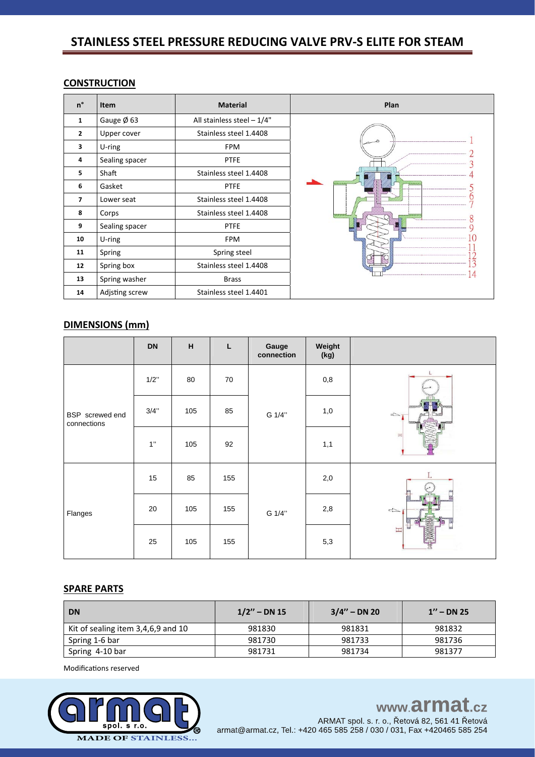### **CONSTRUCTION**

| $n^{\circ}$    | <b>Item</b>    | <b>Material</b>              | Plan |
|----------------|----------------|------------------------------|------|
| 1              | Gauge Ø 63     | All stainless steel $-1/4$ " |      |
| $\mathbf{2}$   | Upper cover    | Stainless steel 1.4408       |      |
| 3              | $U$ -ring      | <b>FPM</b>                   |      |
| 4              | Sealing spacer | <b>PTFE</b>                  |      |
| 5              | Shaft          | Stainless steel 1.4408       |      |
| 6              | Gasket         | <b>PTFE</b>                  |      |
| $\overline{7}$ | Lower seat     | Stainless steel 1.4408       |      |
| 8              | Corps          | Stainless steel 1.4408       |      |
| 9              | Sealing spacer | <b>PTFE</b>                  |      |
| 10             | $U$ -ring      | <b>FPM</b>                   |      |
| 11             | Spring         | Spring steel                 |      |
| 12             | Spring box     | Stainless steel 1.4408       |      |
| 13             | Spring washer  | <b>Brass</b>                 |      |
| 14             | Adjsting screw | Stainless steel 1.4401       |      |

## **DIMENSIONS (mm)**

|                                | <b>DN</b> | $\boldsymbol{\mathsf{H}}$ | L      | Gauge<br>connection | Weight<br>(kg) |               |
|--------------------------------|-----------|---------------------------|--------|---------------------|----------------|---------------|
| BSP screwed end<br>connections | 1/2"      | 80                        | $70\,$ | G 1/4"              | 0,8            |               |
|                                | 3/4"      | 105                       | 85     |                     | 1,0            | $\Rightarrow$ |
|                                | 1"        | 105                       | 92     |                     | 1,1            | <b>ED</b>     |
| Flanges                        | 15        | 85                        | 155    | G 1/4"              | 2,0            | L             |
|                                | 20        | 105                       | 155    |                     | $2,8$          | $\Rightarrow$ |
|                                | 25        | 105                       | 155    |                     | 5,3            | H             |

### **SPARE PARTS**

| <b>DN</b>                          | $1/2"$ – DN 15 | $3/4'' - DN 20$ | $1'' - DN$ 25 |  |
|------------------------------------|----------------|-----------------|---------------|--|
| Kit of sealing item 3,4,6,9 and 10 | 981830         | 981831          | 981832        |  |
| Spring 1-6 bar                     | 981730         | 981733          | 981736        |  |
| Spring 4-10 bar                    | 981731         | 981734          | 981377        |  |

Modifications reserved



# www.armat.cz

ARMAT spol. s. r. o., Řetová 82, 561 41 Řetová armat@armat.cz, Tel.: +420 465 585 258 / 030 / 031, Fax +420465 585 254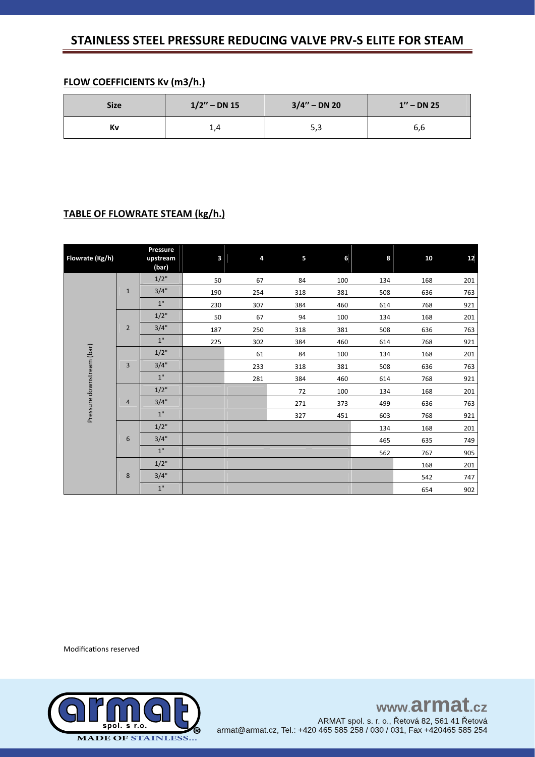### **FLOW COEFFICIENTS Kv (m3/h.)**

| <b>Size</b> | $1/2"$ – DN 15 | $3/4'' - DN 20$ | $1'' - DN 25$ |  |  |
|-------------|----------------|-----------------|---------------|--|--|
| Κv          | ∸∙             | 5,3             | 6,6           |  |  |

### **TABLE OF FLOWRATE STEAM (kg/h.)**

| Flowrate (Kg/h)           |                | Pressure<br>upstream<br>(bar) | 3   | 4   | 5   | 6   | 8   | 10  | 12  |
|---------------------------|----------------|-------------------------------|-----|-----|-----|-----|-----|-----|-----|
|                           |                | $1/2$ "                       | 50  | 67  | 84  | 100 | 134 | 168 | 201 |
|                           | $\mathbf{1}$   | 3/4"                          | 190 | 254 | 318 | 381 | 508 | 636 | 763 |
|                           |                | 1"                            | 230 | 307 | 384 | 460 | 614 | 768 | 921 |
|                           |                | $1/2$ "                       | 50  | 67  | 94  | 100 | 134 | 168 | 201 |
|                           | $\overline{2}$ | 3/4"                          | 187 | 250 | 318 | 381 | 508 | 636 | 763 |
|                           |                | 1"                            | 225 | 302 | 384 | 460 | 614 | 768 | 921 |
|                           |                | $1/2$ "                       |     | 61  | 84  | 100 | 134 | 168 | 201 |
|                           | $\overline{3}$ | 3/4"                          |     | 233 | 318 | 381 | 508 | 636 | 763 |
|                           |                | 1"                            |     | 281 | 384 | 460 | 614 | 768 | 921 |
|                           | $\overline{4}$ | $1/2$ "                       |     |     | 72  | 100 | 134 | 168 | 201 |
|                           |                | 3/4"                          |     |     | 271 | 373 | 499 | 636 | 763 |
| Pressure downstream (bar) |                | 1"                            |     |     | 327 | 451 | 603 | 768 | 921 |
|                           | 6              | $1/2$ "                       |     |     |     |     | 134 | 168 | 201 |
|                           |                | 3/4"                          |     |     |     |     | 465 | 635 | 749 |
|                           |                | 1"                            |     |     |     |     | 562 | 767 | 905 |
|                           |                | $1/2$ "                       |     |     |     |     |     | 168 | 201 |
|                           | 8              | 3/4"                          |     |     |     |     |     | 542 | 747 |
|                           |                | 1"                            |     |     |     |     |     | 654 | 902 |

Modifications reserved



www.armat.cz ARMAT spol. s. r. o., Řetová 82, 561 41 Řetová armat@armat.cz, Tel.: +420 465 585 258 / 030 / 031, Fax +420465 585 254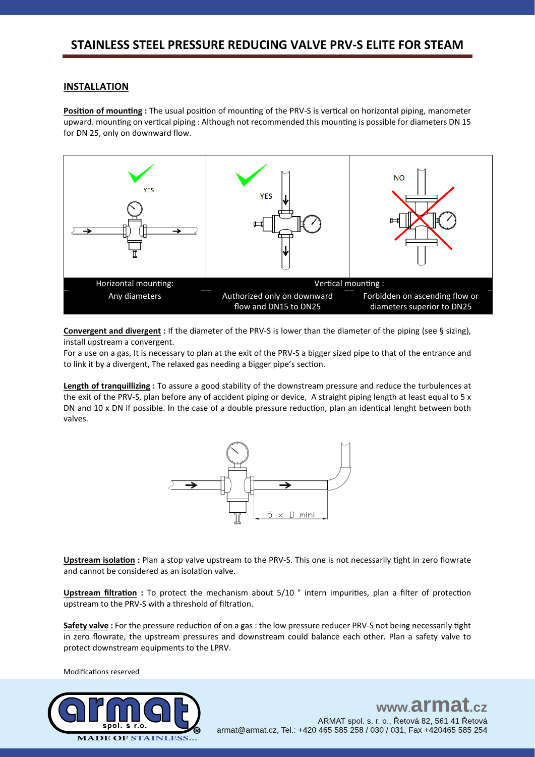### **INSTALLATION**

**Position of mounting :** The usual position of mounting of the PRV-S is vertical on horizontal piping, manometer upward. mounting on vertical piping : Although not recommended this mounting is possible for diameters DN 15 for DN 25, only on downward flow.



**Convergent and divergent :** If the diameter of the PRV-S is lower than the diameter of the piping (see § sizing), install upstream a convergent.

For a use on a gas, It is necessary to plan at the exit of the PRV-S a bigger sized pipe to that of the entrance and to link it by a divergent, The relaxed gas needing a bigger pipe's section.

**Length of tranquillizing :** To assure a good stability of the downstream pressure and reduce the turbulences at the exit of the PRV-S, plan before any of accident piping or device, A straight piping length at least equal to 5 x DN and 10 x DN if possible. In the case of a double pressure reduction, plan an identical lenght between both valves.



**Upstream isolation :** Plan a stop valve upstream to the PRV-S. This one is not necessarily tight in zero flowrate and cannot be considered as an isolation valve.

**Upstream filtration :** To protect the mechanism about 5/10 ° intern impurities, plan a filter of protection upstream to the PRV-S with a threshold of filtration.

**Safety valve :** For the pressure reduction of on a gas : the low pressure reducer PRV-S not being necessarily tight in zero flowrate, the upstream pressures and downstream could balance each other. Plan a safety valve to protect downstream equipments to the LPRV.

Modifications reserved